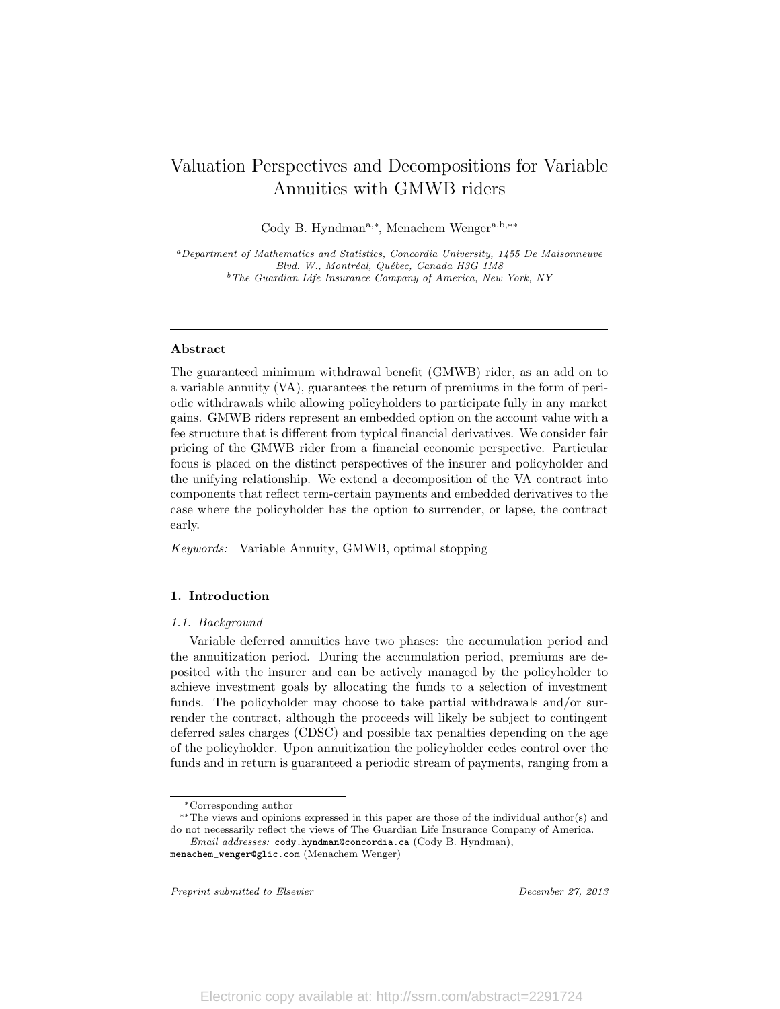# Valuation Perspectives and Decompositions for Variable Annuities with GMWB riders

Cody B. Hyndman<sup>a,\*</sup>, Menachem Wenger<sup>a,b,\*\*</sup>

<sup>a</sup>Department of Mathematics and Statistics, Concordia University, 1455 De Maisonneuve Blvd. W., Montréal, Québec, Canada H3G 1M8  $b$  The Guardian Life Insurance Company of America, New York, NY

### Abstract

The guaranteed minimum withdrawal benefit (GMWB) rider, as an add on to a variable annuity (VA), guarantees the return of premiums in the form of periodic withdrawals while allowing policyholders to participate fully in any market gains. GMWB riders represent an embedded option on the account value with a fee structure that is different from typical financial derivatives. We consider fair pricing of the GMWB rider from a financial economic perspective. Particular focus is placed on the distinct perspectives of the insurer and policyholder and the unifying relationship. We extend a decomposition of the VA contract into components that reflect term-certain payments and embedded derivatives to the case where the policyholder has the option to surrender, or lapse, the contract early.

Keywords: Variable Annuity, GMWB, optimal stopping

# 1. Introduction

# 1.1. Background

Variable deferred annuities have two phases: the accumulation period and the annuitization period. During the accumulation period, premiums are deposited with the insurer and can be actively managed by the policyholder to achieve investment goals by allocating the funds to a selection of investment funds. The policyholder may choose to take partial withdrawals and/or surrender the contract, although the proceeds will likely be subject to contingent deferred sales charges (CDSC) and possible tax penalties depending on the age of the policyholder. Upon annuitization the policyholder cedes control over the funds and in return is guaranteed a periodic stream of payments, ranging from a

Preprint submitted to Elsevier Communication of the December 27, 2013

<sup>∗</sup>Corresponding author

<sup>∗∗</sup>The views and opinions expressed in this paper are those of the individual author(s) and do not necessarily reflect the views of The Guardian Life Insurance Company of America.

Email addresses: cody.hyndman@concordia.ca (Cody B. Hyndman),

menachem\_wenger@glic.com (Menachem Wenger)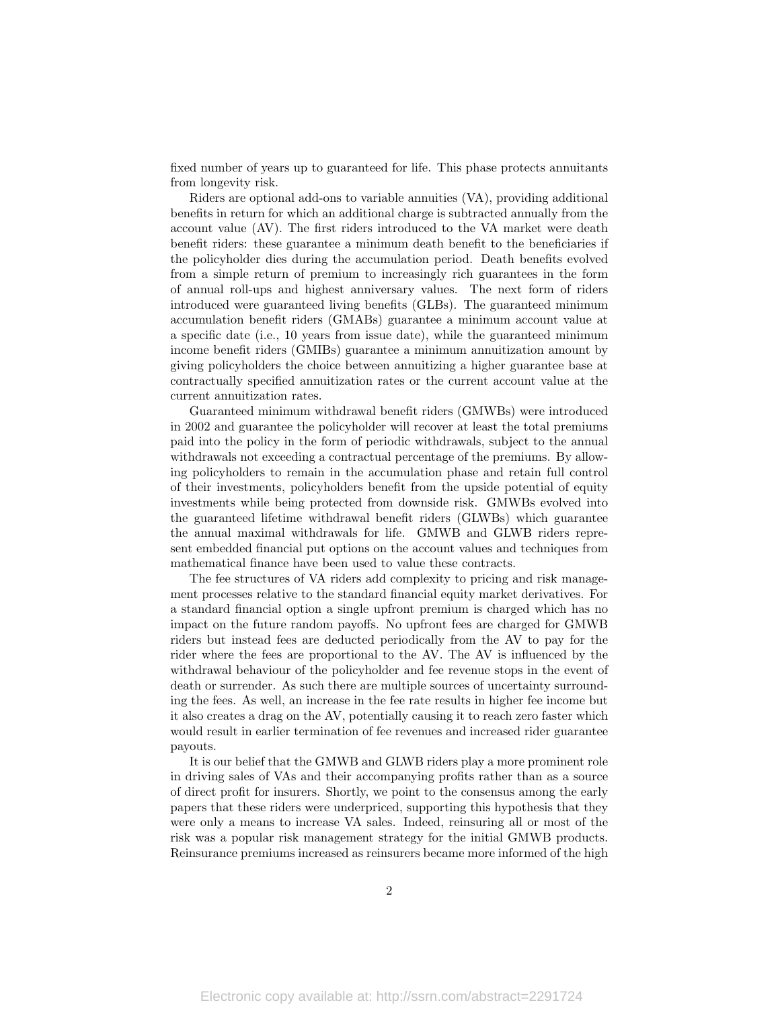fixed number of years up to guaranteed for life. This phase protects annuitants from longevity risk.

Riders are optional add-ons to variable annuities (VA), providing additional benefits in return for which an additional charge is subtracted annually from the account value (AV). The first riders introduced to the VA market were death benefit riders: these guarantee a minimum death benefit to the beneficiaries if the policyholder dies during the accumulation period. Death benefits evolved from a simple return of premium to increasingly rich guarantees in the form of annual roll-ups and highest anniversary values. The next form of riders introduced were guaranteed living benefits (GLBs). The guaranteed minimum accumulation benefit riders (GMABs) guarantee a minimum account value at a specific date (i.e., 10 years from issue date), while the guaranteed minimum income benefit riders (GMIBs) guarantee a minimum annuitization amount by giving policyholders the choice between annuitizing a higher guarantee base at contractually specified annuitization rates or the current account value at the current annuitization rates.

Guaranteed minimum withdrawal benefit riders (GMWBs) were introduced in 2002 and guarantee the policyholder will recover at least the total premiums paid into the policy in the form of periodic withdrawals, subject to the annual withdrawals not exceeding a contractual percentage of the premiums. By allowing policyholders to remain in the accumulation phase and retain full control of their investments, policyholders benefit from the upside potential of equity investments while being protected from downside risk. GMWBs evolved into the guaranteed lifetime withdrawal benefit riders (GLWBs) which guarantee the annual maximal withdrawals for life. GMWB and GLWB riders represent embedded financial put options on the account values and techniques from mathematical finance have been used to value these contracts.

The fee structures of VA riders add complexity to pricing and risk management processes relative to the standard financial equity market derivatives. For a standard financial option a single upfront premium is charged which has no impact on the future random payoffs. No upfront fees are charged for GMWB riders but instead fees are deducted periodically from the AV to pay for the rider where the fees are proportional to the AV. The AV is influenced by the withdrawal behaviour of the policyholder and fee revenue stops in the event of death or surrender. As such there are multiple sources of uncertainty surrounding the fees. As well, an increase in the fee rate results in higher fee income but it also creates a drag on the AV, potentially causing it to reach zero faster which would result in earlier termination of fee revenues and increased rider guarantee payouts.

It is our belief that the GMWB and GLWB riders play a more prominent role in driving sales of VAs and their accompanying profits rather than as a source of direct profit for insurers. Shortly, we point to the consensus among the early papers that these riders were underpriced, supporting this hypothesis that they were only a means to increase VA sales. Indeed, reinsuring all or most of the risk was a popular risk management strategy for the initial GMWB products. Reinsurance premiums increased as reinsurers became more informed of the high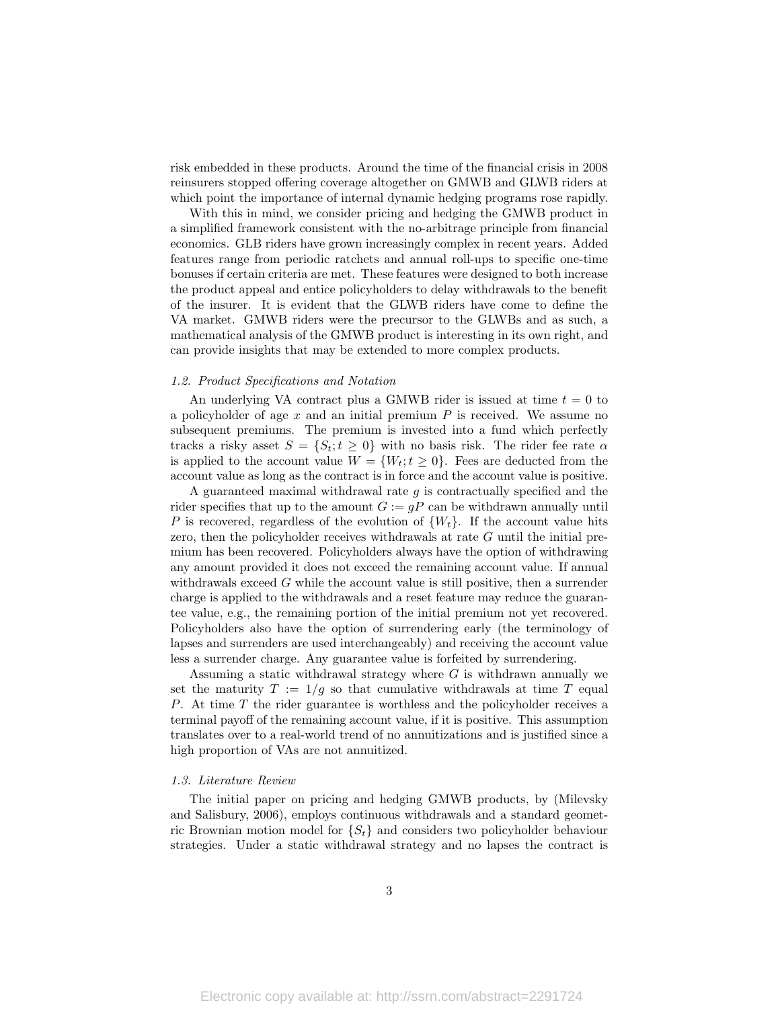risk embedded in these products. Around the time of the financial crisis in 2008 reinsurers stopped offering coverage altogether on GMWB and GLWB riders at which point the importance of internal dynamic hedging programs rose rapidly.

With this in mind, we consider pricing and hedging the GMWB product in a simplified framework consistent with the no-arbitrage principle from financial economics. GLB riders have grown increasingly complex in recent years. Added features range from periodic ratchets and annual roll-ups to specific one-time bonuses if certain criteria are met. These features were designed to both increase the product appeal and entice policyholders to delay withdrawals to the benefit of the insurer. It is evident that the GLWB riders have come to define the VA market. GMWB riders were the precursor to the GLWBs and as such, a mathematical analysis of the GMWB product is interesting in its own right, and can provide insights that may be extended to more complex products.

# 1.2. Product Specifications and Notation

An underlying VA contract plus a GMWB rider is issued at time  $t = 0$  to a policyholder of age  $x$  and an initial premium  $P$  is received. We assume no subsequent premiums. The premium is invested into a fund which perfectly tracks a risky asset  $S = \{S_t; t \geq 0\}$  with no basis risk. The rider fee rate  $\alpha$ is applied to the account value  $W = \{W_t; t \geq 0\}$ . Fees are deducted from the account value as long as the contract is in force and the account value is positive.

A guaranteed maximal withdrawal rate  $g$  is contractually specified and the rider specifies that up to the amount  $G := qP$  can be withdrawn annually until P is recovered, regardless of the evolution of  $\{W_t\}$ . If the account value hits zero, then the policyholder receives withdrawals at rate G until the initial premium has been recovered. Policyholders always have the option of withdrawing any amount provided it does not exceed the remaining account value. If annual withdrawals exceed  $G$  while the account value is still positive, then a surrender charge is applied to the withdrawals and a reset feature may reduce the guarantee value, e.g., the remaining portion of the initial premium not yet recovered. Policyholders also have the option of surrendering early (the terminology of lapses and surrenders are used interchangeably) and receiving the account value less a surrender charge. Any guarantee value is forfeited by surrendering.

Assuming a static withdrawal strategy where  $G$  is withdrawn annually we set the maturity  $T := 1/g$  so that cumulative withdrawals at time T equal P. At time T the rider guarantee is worthless and the policyholder receives a terminal payoff of the remaining account value, if it is positive. This assumption translates over to a real-world trend of no annuitizations and is justified since a high proportion of VAs are not annuitized.

#### 1.3. Literature Review

The initial paper on pricing and hedging GMWB products, by (Milevsky and Salisbury, 2006), employs continuous withdrawals and a standard geometric Brownian motion model for  $\{S_t\}$  and considers two policyholder behaviour strategies. Under a static withdrawal strategy and no lapses the contract is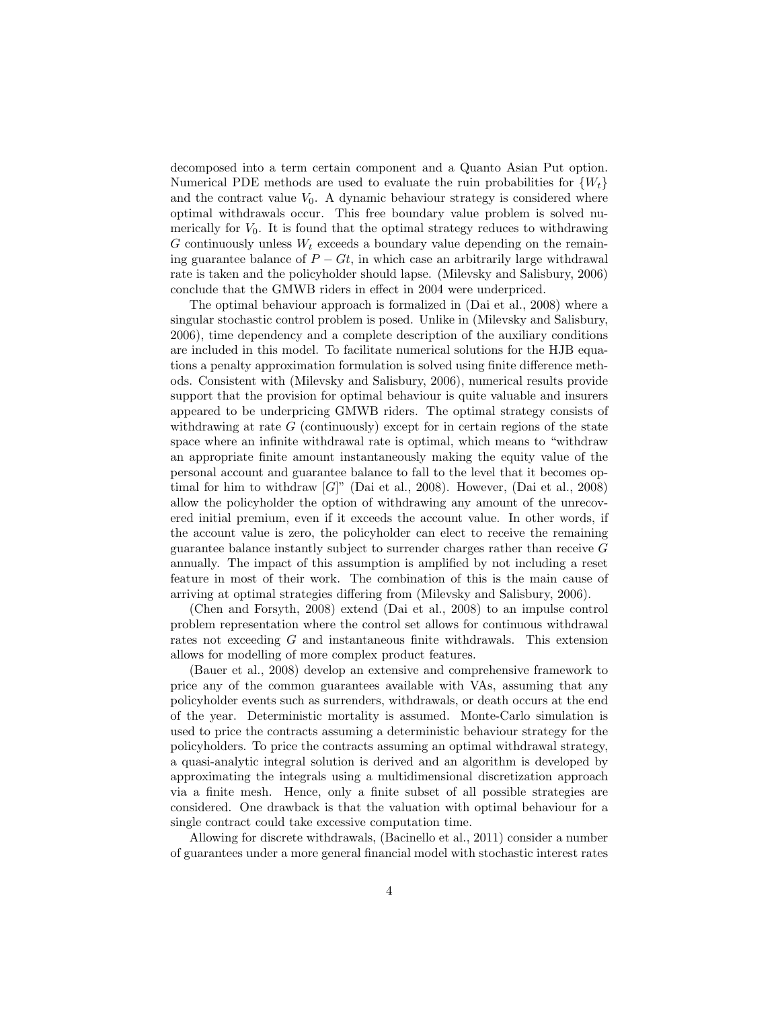decomposed into a term certain component and a Quanto Asian Put option. Numerical PDE methods are used to evaluate the ruin probabilities for  $\{W_t\}$ and the contract value  $V_0$ . A dynamic behaviour strategy is considered where optimal withdrawals occur. This free boundary value problem is solved numerically for  $V_0$ . It is found that the optimal strategy reduces to withdrawing G continuously unless  $W_t$  exceeds a boundary value depending on the remaining guarantee balance of  $P - Gt$ , in which case an arbitrarily large withdrawal rate is taken and the policyholder should lapse. (Milevsky and Salisbury, 2006) conclude that the GMWB riders in effect in 2004 were underpriced.

The optimal behaviour approach is formalized in (Dai et al., 2008) where a singular stochastic control problem is posed. Unlike in (Milevsky and Salisbury, 2006), time dependency and a complete description of the auxiliary conditions are included in this model. To facilitate numerical solutions for the HJB equations a penalty approximation formulation is solved using finite difference methods. Consistent with (Milevsky and Salisbury, 2006), numerical results provide support that the provision for optimal behaviour is quite valuable and insurers appeared to be underpricing GMWB riders. The optimal strategy consists of withdrawing at rate  $G$  (continuously) except for in certain regions of the state space where an infinite withdrawal rate is optimal, which means to "withdraw an appropriate finite amount instantaneously making the equity value of the personal account and guarantee balance to fall to the level that it becomes optimal for him to withdraw  $[G]$ " (Dai et al., 2008). However, (Dai et al., 2008) allow the policyholder the option of withdrawing any amount of the unrecovered initial premium, even if it exceeds the account value. In other words, if the account value is zero, the policyholder can elect to receive the remaining guarantee balance instantly subject to surrender charges rather than receive G annually. The impact of this assumption is amplified by not including a reset feature in most of their work. The combination of this is the main cause of arriving at optimal strategies differing from (Milevsky and Salisbury, 2006).

(Chen and Forsyth, 2008) extend (Dai et al., 2008) to an impulse control problem representation where the control set allows for continuous withdrawal rates not exceeding G and instantaneous finite withdrawals. This extension allows for modelling of more complex product features.

(Bauer et al., 2008) develop an extensive and comprehensive framework to price any of the common guarantees available with VAs, assuming that any policyholder events such as surrenders, withdrawals, or death occurs at the end of the year. Deterministic mortality is assumed. Monte-Carlo simulation is used to price the contracts assuming a deterministic behaviour strategy for the policyholders. To price the contracts assuming an optimal withdrawal strategy, a quasi-analytic integral solution is derived and an algorithm is developed by approximating the integrals using a multidimensional discretization approach via a finite mesh. Hence, only a finite subset of all possible strategies are considered. One drawback is that the valuation with optimal behaviour for a single contract could take excessive computation time.

Allowing for discrete withdrawals, (Bacinello et al., 2011) consider a number of guarantees under a more general financial model with stochastic interest rates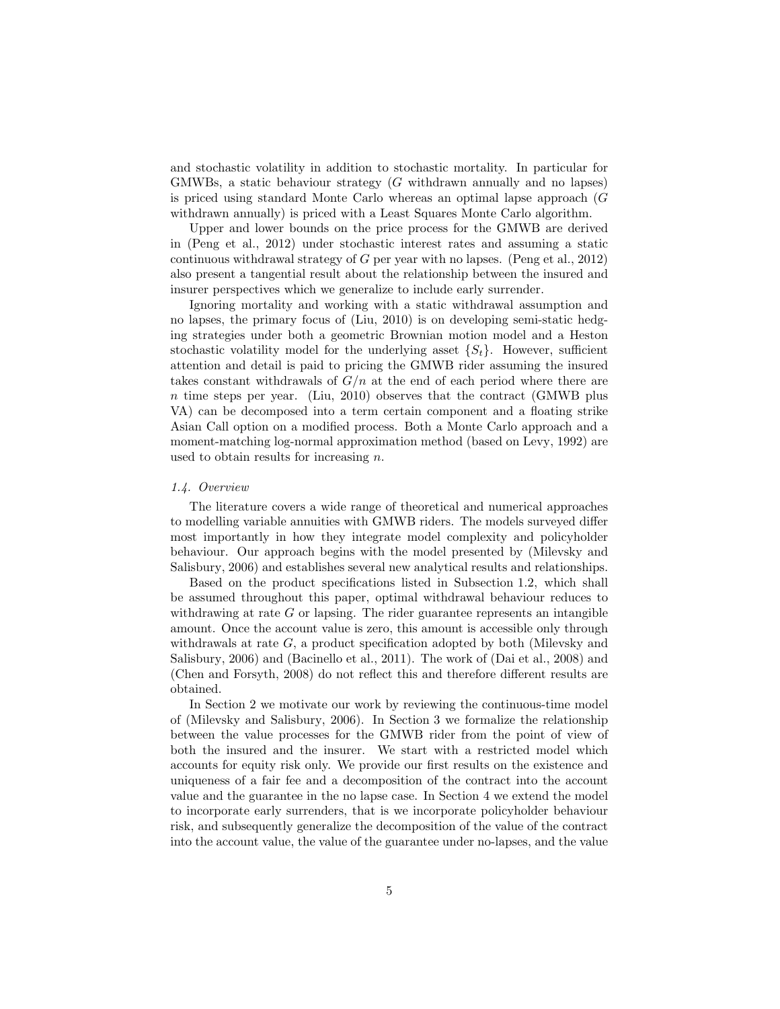and stochastic volatility in addition to stochastic mortality. In particular for GMWBs, a static behaviour strategy  $(G$  withdrawn annually and no lapses) is priced using standard Monte Carlo whereas an optimal lapse approach (G withdrawn annually) is priced with a Least Squares Monte Carlo algorithm.

Upper and lower bounds on the price process for the GMWB are derived in (Peng et al., 2012) under stochastic interest rates and assuming a static continuous withdrawal strategy of  $G$  per year with no lapses. (Peng et al., 2012) also present a tangential result about the relationship between the insured and insurer perspectives which we generalize to include early surrender.

Ignoring mortality and working with a static withdrawal assumption and no lapses, the primary focus of (Liu, 2010) is on developing semi-static hedging strategies under both a geometric Brownian motion model and a Heston stochastic volatility model for the underlying asset  $\{S_t\}$ . However, sufficient attention and detail is paid to pricing the GMWB rider assuming the insured takes constant withdrawals of  $G/n$  at the end of each period where there are n time steps per year. (Liu, 2010) observes that the contract (GMWB plus VA) can be decomposed into a term certain component and a floating strike Asian Call option on a modified process. Both a Monte Carlo approach and a moment-matching log-normal approximation method (based on Levy, 1992) are used to obtain results for increasing n.

#### 1.4. Overview

The literature covers a wide range of theoretical and numerical approaches to modelling variable annuities with GMWB riders. The models surveyed differ most importantly in how they integrate model complexity and policyholder behaviour. Our approach begins with the model presented by (Milevsky and Salisbury, 2006) and establishes several new analytical results and relationships.

Based on the product specifications listed in Subsection 1.2, which shall be assumed throughout this paper, optimal withdrawal behaviour reduces to withdrawing at rate  $G$  or lapsing. The rider guarantee represents an intangible amount. Once the account value is zero, this amount is accessible only through withdrawals at rate  $G$ , a product specification adopted by both (Milevsky and Salisbury, 2006) and (Bacinello et al., 2011). The work of (Dai et al., 2008) and (Chen and Forsyth, 2008) do not reflect this and therefore different results are obtained.

In Section 2 we motivate our work by reviewing the continuous-time model of (Milevsky and Salisbury, 2006). In Section 3 we formalize the relationship between the value processes for the GMWB rider from the point of view of both the insured and the insurer. We start with a restricted model which accounts for equity risk only. We provide our first results on the existence and uniqueness of a fair fee and a decomposition of the contract into the account value and the guarantee in the no lapse case. In Section 4 we extend the model to incorporate early surrenders, that is we incorporate policyholder behaviour risk, and subsequently generalize the decomposition of the value of the contract into the account value, the value of the guarantee under no-lapses, and the value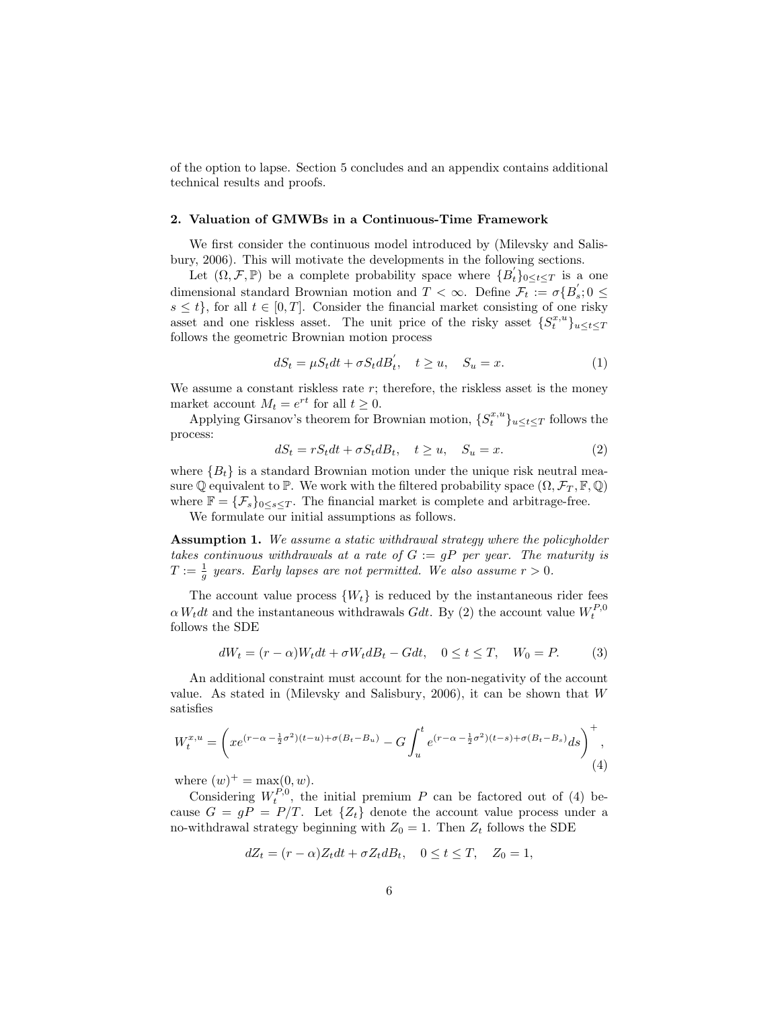of the option to lapse. Section 5 concludes and an appendix contains additional technical results and proofs.

#### 2. Valuation of GMWBs in a Continuous-Time Framework

We first consider the continuous model introduced by (Milevsky and Salisbury, 2006). This will motivate the developments in the following sections.

Let  $(\Omega, \mathcal{F}, \mathbb{P})$  be a complete probability space where  ${B'_t}_{0 \le t \le T}$  is a one dimensional standard Brownian motion and  $T < \infty$ . Define  $\mathcal{F}_t := \sigma\{B_s, 0 \leq t \leq T_s\}$  $s \leq t$ , for all  $t \in [0, T]$ . Consider the financial market consisting of one risky asset and one riskless asset. The unit price of the risky asset  $\{S_t^{x,u}\}_{u\leq t\leq T}$ follows the geometric Brownian motion process

$$
dS_t = \mu S_t dt + \sigma S_t dB_t', \quad t \ge u, \quad S_u = x. \tag{1}
$$

We assume a constant riskless rate  $r$ ; therefore, the riskless asset is the money market account  $M_t = e^{rt}$  for all  $t \geq 0$ .

Applying Girsanov's theorem for Brownian motion,  $\{S_t^{x,u}\}_{u\leq t\leq T}$  follows the process:

$$
dS_t = rS_t dt + \sigma S_t dB_t, \quad t \ge u, \quad S_u = x. \tag{2}
$$

where  ${B<sub>t</sub>}$  is a standard Brownian motion under the unique risk neutral measure Q equivalent to P. We work with the filtered probability space  $(\Omega, \mathcal{F}_T, \mathbb{F}, \mathbb{Q})$ where  $\mathbb{F} = {\{\mathcal{F}_s\}_{0 \leq s \leq T}}$ . The financial market is complete and arbitrage-free.

We formulate our initial assumptions as follows.

Assumption 1. We assume a static withdrawal strategy where the policyholder takes continuous withdrawals at a rate of  $G := qP$  per year. The maturity is  $T := \frac{1}{g}$  years. Early lapses are not permitted. We also assume  $r > 0$ .

The account value process  $\{W_t\}$  is reduced by the instantaneous rider fees  $\alpha W_t dt$  and the instantaneous withdrawals Gdt. By (2) the account value  $W_t^{P,0}$ follows the SDE

$$
dW_t = (r - \alpha)W_t dt + \sigma W_t dB_t - Gdt, \quad 0 \le t \le T, \quad W_0 = P. \tag{3}
$$

An additional constraint must account for the non-negativity of the account value. As stated in (Milevsky and Salisbury, 2006), it can be shown that W satisfies

$$
W_t^{x,u} = \left( xe^{(r-\alpha - \frac{1}{2}\sigma^2)(t-u) + \sigma(B_t - B_u)} - G \int_u^t e^{(r-\alpha - \frac{1}{2}\sigma^2)(t-s) + \sigma(B_t - B_s)} ds \right)_+^+,
$$
\n(4)

where  $(w)^{+} = \max(0, w)$ .

Considering  $W_t^{P,0}$ , the initial premium P can be factored out of (4) because  $G = gP = P/T$ . Let  $\{Z_t\}$  denote the account value process under a no-withdrawal strategy beginning with  $Z_0 = 1$ . Then  $Z_t$  follows the SDE

$$
dZ_t = (r - \alpha)Z_t dt + \sigma Z_t dB_t, \quad 0 \le t \le T, \quad Z_0 = 1,
$$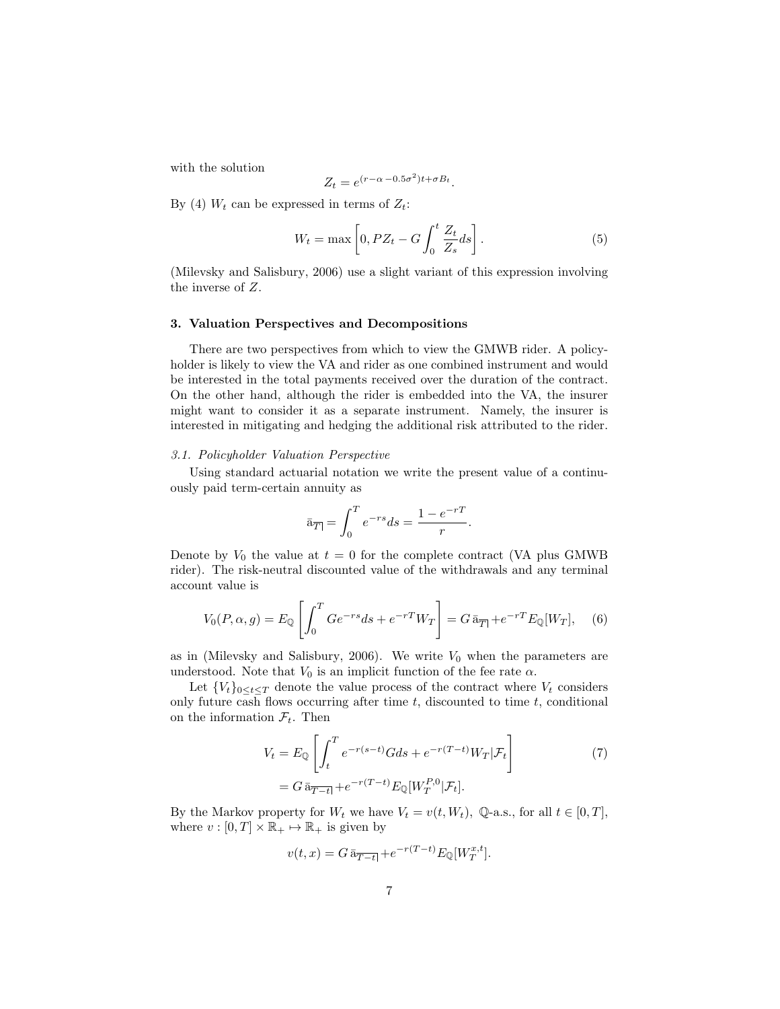with the solution

$$
Z_t = e^{(r-\alpha-0.5\sigma^2)t+\sigma B_t}.
$$

By (4)  $W_t$  can be expressed in terms of  $Z_t$ :

$$
W_t = \max\left[0, PZ_t - G \int_0^t \frac{Z_t}{Z_s} ds\right].
$$
 (5)

(Milevsky and Salisbury, 2006) use a slight variant of this expression involving the inverse of Z.

#### 3. Valuation Perspectives and Decompositions

There are two perspectives from which to view the GMWB rider. A policyholder is likely to view the VA and rider as one combined instrument and would be interested in the total payments received over the duration of the contract. On the other hand, although the rider is embedded into the VA, the insurer might want to consider it as a separate instrument. Namely, the insurer is interested in mitigating and hedging the additional risk attributed to the rider.

#### 3.1. Policyholder Valuation Perspective

Using standard actuarial notation we write the present value of a continuously paid term-certain annuity as

$$
\bar{\mathbf{a}}_{\overline{T}} = \int_0^T e^{-rs} ds = \frac{1 - e^{-rT}}{r}.
$$

Denote by  $V_0$  the value at  $t = 0$  for the complete contract (VA plus GMWB rider). The risk-neutral discounted value of the withdrawals and any terminal account value is

$$
V_0(P, \alpha, g) = E_{\mathbb{Q}} \left[ \int_0^T G e^{-rs} ds + e^{-rT} W_T \right] = G \bar{a}_{\overline{T}} + e^{-rT} E_{\mathbb{Q}}[W_T], \quad (6)
$$

as in (Milevsky and Salisbury, 2006). We write  $V_0$  when the parameters are understood. Note that  $V_0$  is an implicit function of the fee rate  $\alpha$ .

Let  ${V_t}_{0 \leq t \leq T}$  denote the value process of the contract where  $V_t$  considers only future cash flows occurring after time  $t$ , discounted to time  $t$ , conditional on the information  $\mathcal{F}_t$ . Then

$$
V_t = E_{\mathbb{Q}} \left[ \int_t^T e^{-r(s-t)} G ds + e^{-r(T-t)} W_T | \mathcal{F}_t \right]
$$
  
=  $G \overline{a}_{\overline{T-t}} + e^{-r(T-t)} E_{\mathbb{Q}} [W_T^{P,0} | \mathcal{F}_t].$  (7)

By the Markov property for  $W_t$  we have  $V_t = v(t, W_t)$ , Q-a.s., for all  $t \in [0, T]$ , where  $v : [0, T] \times \mathbb{R}_+ \mapsto \mathbb{R}_+$  is given by

$$
v(t,x) = G \overline{\mathbf{a}}_{\overline{T-t}} + e^{-r(T-t)} E_{\mathbb{Q}}[W_T^{x,t}].
$$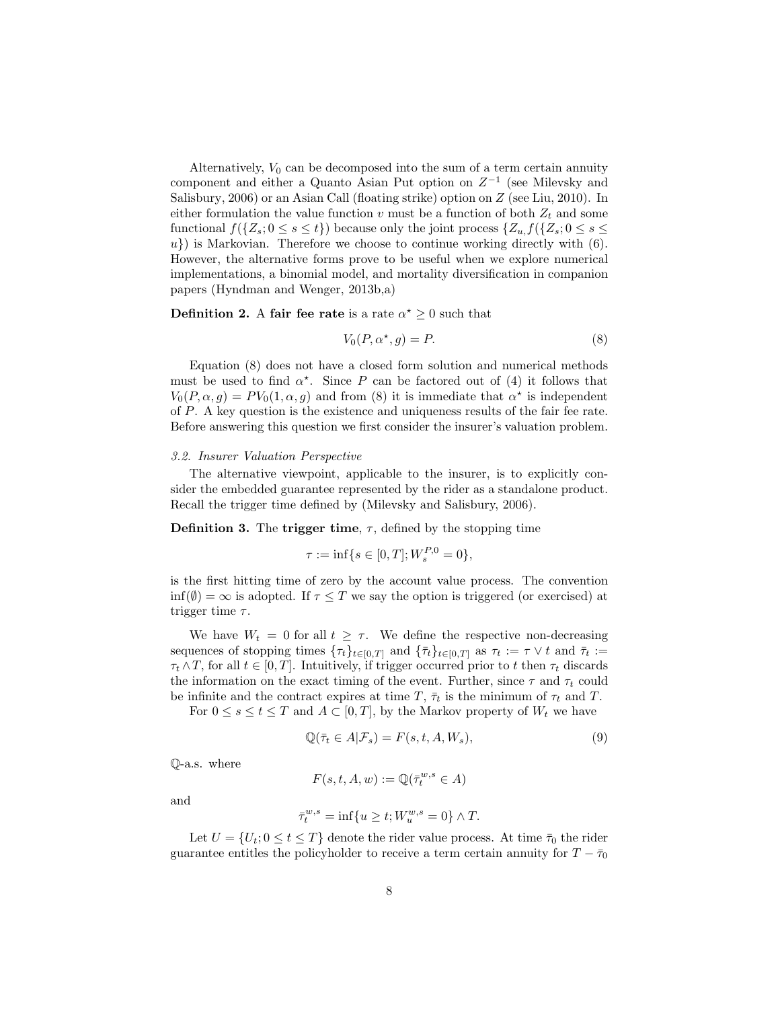Alternatively,  $V_0$  can be decomposed into the sum of a term certain annuity component and either a Quanto Asian Put option on  $Z^{-1}$  (see Milevsky and Salisbury, 2006) or an Asian Call (floating strike) option on Z (see Liu, 2010). In either formulation the value function v must be a function of both  $Z_t$  and some functional  $f({Z_s; 0 \le s \le t})$  because only the joint process  ${Z_u, f({Z_s; 0 \le s \le t})}$  $u$ ) is Markovian. Therefore we choose to continue working directly with  $(6)$ . However, the alternative forms prove to be useful when we explore numerical implementations, a binomial model, and mortality diversification in companion papers (Hyndman and Wenger, 2013b,a)

**Definition 2.** A fair fee rate is a rate  $\alpha^* \geq 0$  such that

$$
V_0(P, \alpha^*, g) = P.
$$
\n<sup>(8)</sup>

Equation (8) does not have a closed form solution and numerical methods must be used to find  $\alpha^*$ . Since P can be factored out of (4) it follows that  $V_0(P,\alpha,g) = PV_0(1,\alpha,g)$  and from (8) it is immediate that  $\alpha^*$  is independent of P. A key question is the existence and uniqueness results of the fair fee rate. Before answering this question we first consider the insurer's valuation problem.

#### 3.2. Insurer Valuation Perspective

The alternative viewpoint, applicable to the insurer, is to explicitly consider the embedded guarantee represented by the rider as a standalone product. Recall the trigger time defined by (Milevsky and Salisbury, 2006).

**Definition 3.** The **trigger time**,  $\tau$ , defined by the stopping time

$$
\tau := \inf \{ s \in [0, T]; W_s^{P,0} = 0 \},\
$$

is the first hitting time of zero by the account value process. The convention  $\inf(\emptyset) = \infty$  is adopted. If  $\tau \leq T$  we say the option is triggered (or exercised) at trigger time  $\tau$ .

We have  $W_t = 0$  for all  $t \geq \tau$ . We define the respective non-decreasing sequences of stopping times  ${\tau_t}_{t\in[0,T]}$  and  ${\bar{\tau}_t}_{t\in[0,T]}$  as  $\tau_t := \tau \vee t$  and  $\bar{\tau}_t :=$  $\tau_t \wedge T$ , for all  $t \in [0, T]$ . Intuitively, if trigger occurred prior to t then  $\tau_t$  discards the information on the exact timing of the event. Further, since  $\tau$  and  $\tau_t$  could be infinite and the contract expires at time T,  $\bar{\tau}_t$  is the minimum of  $\tau_t$  and T.

For  $0 \leq s \leq t \leq T$  and  $A \subset [0, T]$ , by the Markov property of  $W_t$  we have

$$
\mathbb{Q}(\bar{\tau}_t \in A | \mathcal{F}_s) = F(s, t, A, W_s),\tag{9}
$$

Q-a.s. where

$$
F(s, t, A, w) := \mathbb{Q}(\bar{\tau}_t^{w, s} \in A)
$$

and

$$
\bar{\tau}_t^{w,s} = \inf\{u \ge t; W_u^{w,s} = 0\} \wedge T.
$$

Let  $U = \{U_t; 0 \le t \le T\}$  denote the rider value process. At time  $\bar{\tau}_0$  the rider guarantee entitles the policyholder to receive a term certain annuity for  $T - \bar{\tau}_0$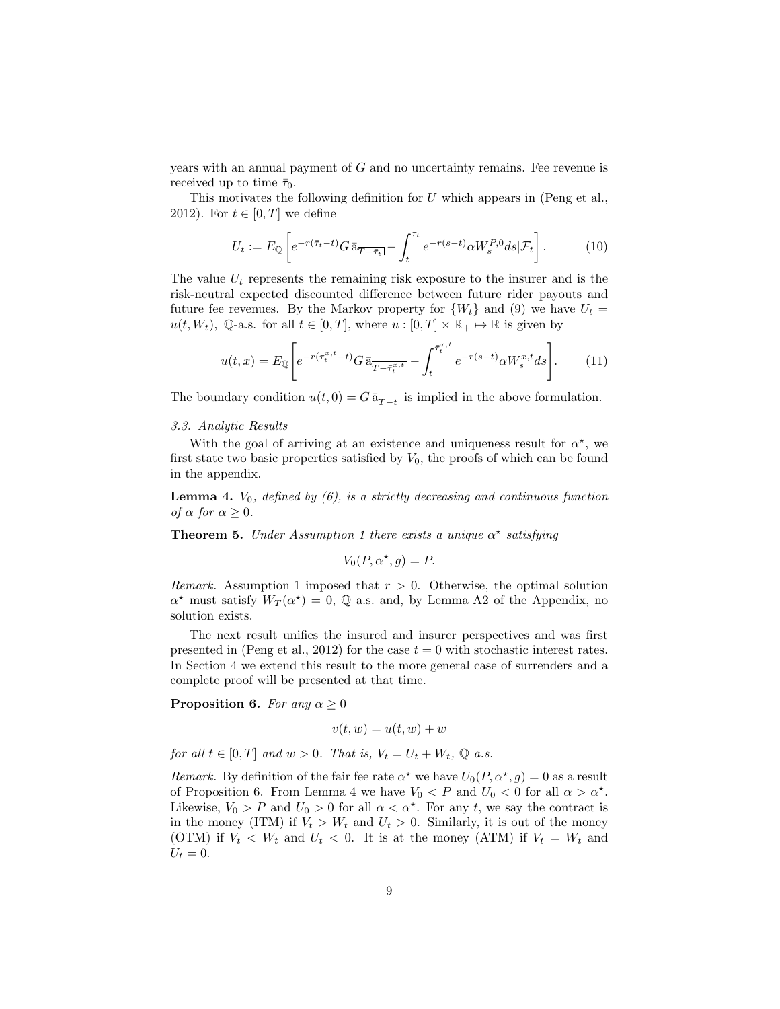years with an annual payment of  $G$  and no uncertainty remains. Fee revenue is received up to time  $\bar{\tau}_0$ .

This motivates the following definition for U which appears in (Peng et al., 2012). For  $t \in [0, T]$  we define

$$
U_t := E_{\mathbb{Q}} \left[ e^{-r(\bar{\tau}_t - t)} G \, \bar{a}_{\overline{T} - \bar{\tau}_t} - \int_t^{\bar{\tau}_t} e^{-r(s-t)} \alpha W_s^{P,0} ds | \mathcal{F}_t \right]. \tag{10}
$$

The value  $U_t$  represents the remaining risk exposure to the insurer and is the risk-neutral expected discounted difference between future rider payouts and future fee revenues. By the Markov property for  $\{W_t\}$  and (9) we have  $U_t =$  $u(t, W_t)$ , Q-a.s. for all  $t \in [0, T]$ , where  $u : [0, T] \times \mathbb{R}_+ \mapsto \mathbb{R}$  is given by

$$
u(t,x) = E_{\mathbb{Q}} \left[ e^{-r(\tau_t^{x,t} - t)} G \bar{a} \frac{\bar{\tau}_t^{x,t}}{T - \bar{\tau}_t^{x,t}} - \int_t^{\bar{\tau}_t^{x,t}} e^{-r(s-t)} \alpha W_s^{x,t} ds \right]. \tag{11}
$$

The boundary condition  $u(t, 0) = G \bar{a}_{\overline{T-t}}$  is implied in the above formulation.

#### 3.3. Analytic Results

With the goal of arriving at an existence and uniqueness result for  $\alpha^*$ , we first state two basic properties satisfied by  $V_0$ , the proofs of which can be found in the appendix.

**Lemma 4.**  $V_0$ , defined by (6), is a strictly decreasing and continuous function of  $\alpha$  for  $\alpha \geq 0$ .

**Theorem 5.** Under Assumption 1 there exists a unique  $\alpha^*$  satisfying

$$
V_0(P, \alpha^\star, g) = P.
$$

Remark. Assumption 1 imposed that  $r > 0$ . Otherwise, the optimal solution  $\alpha^*$  must satisfy  $W_T(\alpha^*) = 0$ , Q a.s. and, by Lemma A2 of the Appendix, no solution exists.

The next result unifies the insured and insurer perspectives and was first presented in (Peng et al., 2012) for the case  $t = 0$  with stochastic interest rates. In Section 4 we extend this result to the more general case of surrenders and a complete proof will be presented at that time.

**Proposition 6.** For any  $\alpha \geq 0$ 

$$
v(t,w) = u(t,w) + w
$$

for all  $t \in [0, T]$  and  $w > 0$ . That is,  $V_t = U_t + W_t$ ,  $\mathbb{Q}$  a.s.

Remark. By definition of the fair fee rate  $\alpha^*$  we have  $U_0(P, \alpha^*, g) = 0$  as a result of Proposition 6. From Lemma 4 we have  $V_0 < P$  and  $U_0 < 0$  for all  $\alpha > \alpha^*$ . Likewise,  $V_0 > P$  and  $U_0 > 0$  for all  $\alpha < \alpha^*$ . For any t, we say the contract is in the money (ITM) if  $V_t > W_t$  and  $U_t > 0$ . Similarly, it is out of the money (OTM) if  $V_t \n\leq W_t$  and  $U_t \n\leq 0$ . It is at the money (ATM) if  $V_t = W_t$  and  $U_t=0.$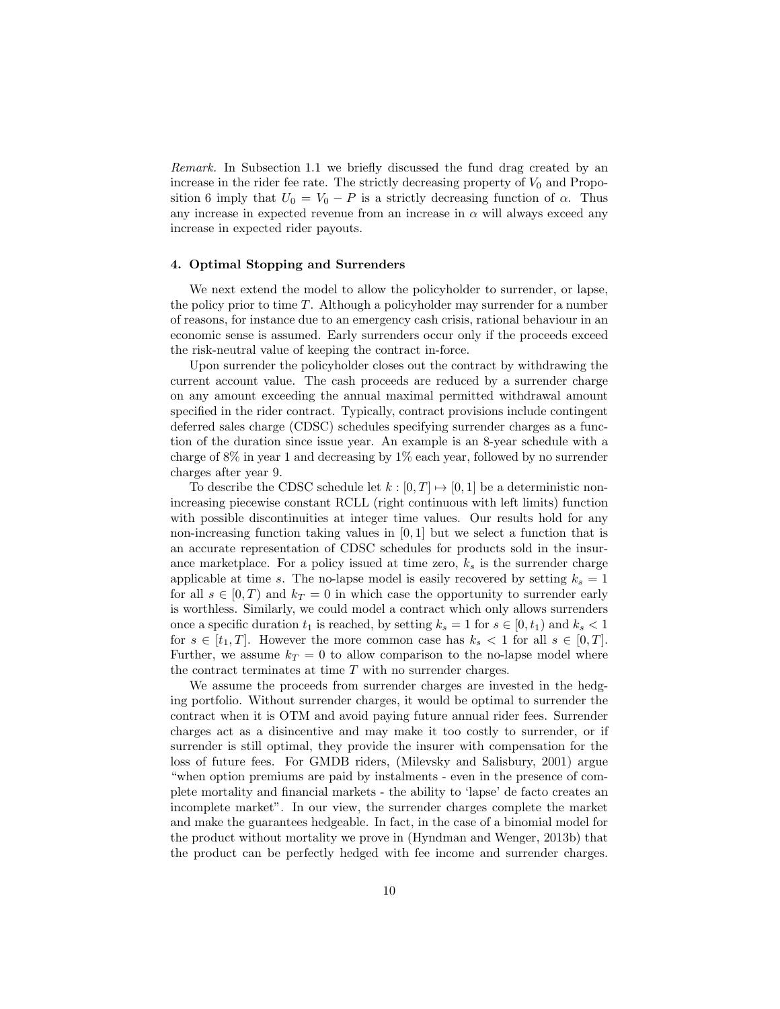Remark. In Subsection 1.1 we briefly discussed the fund drag created by an increase in the rider fee rate. The strictly decreasing property of  $V_0$  and Proposition 6 imply that  $U_0 = V_0 - P$  is a strictly decreasing function of  $\alpha$ . Thus any increase in expected revenue from an increase in  $\alpha$  will always exceed any increase in expected rider payouts.

#### 4. Optimal Stopping and Surrenders

We next extend the model to allow the policyholder to surrender, or lapse, the policy prior to time T. Although a policyholder may surrender for a number of reasons, for instance due to an emergency cash crisis, rational behaviour in an economic sense is assumed. Early surrenders occur only if the proceeds exceed the risk-neutral value of keeping the contract in-force.

Upon surrender the policyholder closes out the contract by withdrawing the current account value. The cash proceeds are reduced by a surrender charge on any amount exceeding the annual maximal permitted withdrawal amount specified in the rider contract. Typically, contract provisions include contingent deferred sales charge (CDSC) schedules specifying surrender charges as a function of the duration since issue year. An example is an 8-year schedule with a charge of 8% in year 1 and decreasing by 1% each year, followed by no surrender charges after year 9.

To describe the CDSC schedule let  $k : [0, T] \mapsto [0, 1]$  be a deterministic nonincreasing piecewise constant RCLL (right continuous with left limits) function with possible discontinuities at integer time values. Our results hold for any non-increasing function taking values in [0, 1] but we select a function that is an accurate representation of CDSC schedules for products sold in the insurance marketplace. For a policy issued at time zero,  $k<sub>s</sub>$  is the surrender charge applicable at time s. The no-lapse model is easily recovered by setting  $k_s = 1$ for all  $s \in [0, T)$  and  $k_T = 0$  in which case the opportunity to surrender early is worthless. Similarly, we could model a contract which only allows surrenders once a specific duration  $t_1$  is reached, by setting  $k_s = 1$  for  $s \in [0, t_1)$  and  $k_s < 1$ for  $s \in [t_1, T]$ . However the more common case has  $k_s < 1$  for all  $s \in [0, T]$ . Further, we assume  $k_T = 0$  to allow comparison to the no-lapse model where the contract terminates at time  $T$  with no surrender charges.

We assume the proceeds from surrender charges are invested in the hedging portfolio. Without surrender charges, it would be optimal to surrender the contract when it is OTM and avoid paying future annual rider fees. Surrender charges act as a disincentive and may make it too costly to surrender, or if surrender is still optimal, they provide the insurer with compensation for the loss of future fees. For GMDB riders, (Milevsky and Salisbury, 2001) argue "when option premiums are paid by instalments - even in the presence of complete mortality and financial markets - the ability to 'lapse' de facto creates an incomplete market". In our view, the surrender charges complete the market and make the guarantees hedgeable. In fact, in the case of a binomial model for the product without mortality we prove in (Hyndman and Wenger, 2013b) that the product can be perfectly hedged with fee income and surrender charges.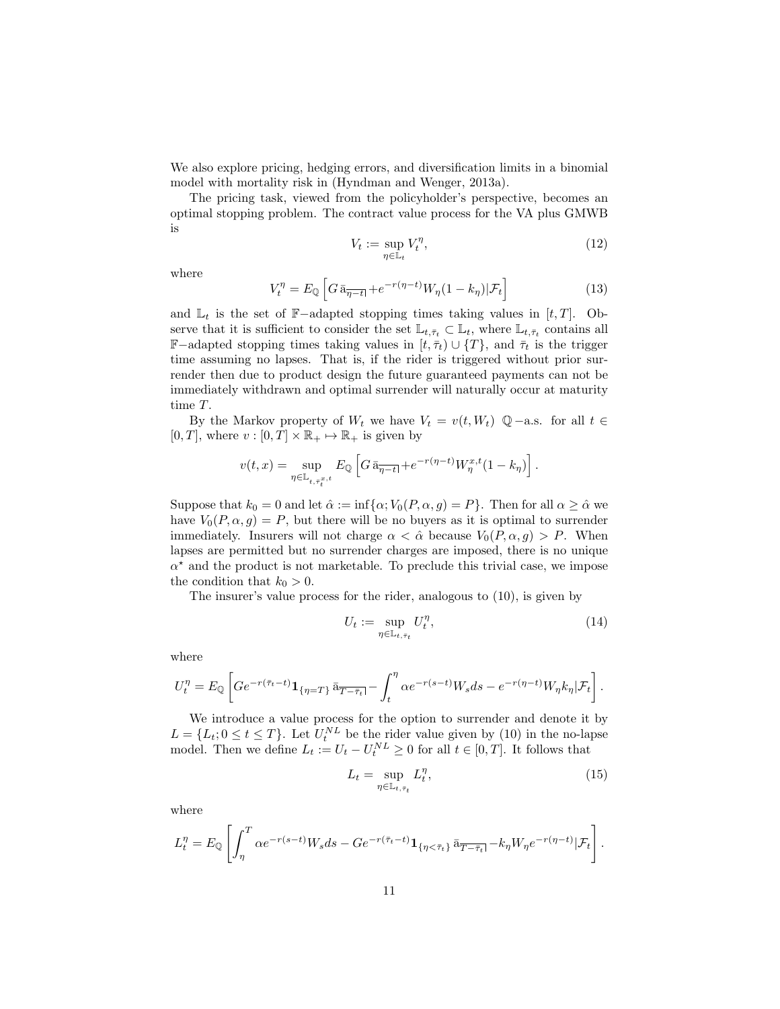We also explore pricing, hedging errors, and diversification limits in a binomial model with mortality risk in (Hyndman and Wenger, 2013a).

The pricing task, viewed from the policyholder's perspective, becomes an optimal stopping problem. The contract value process for the VA plus GMWB is

$$
V_t := \sup_{\eta \in \mathbb{L}_t} V_t^{\eta},\tag{12}
$$

where

$$
V_t^{\eta} = E_{\mathbb{Q}} \left[ G \, \bar{\mathbf{a}}_{\overline{\eta - t}} + e^{-r(\eta - t)} W_{\eta} (1 - k_{\eta}) | \mathcal{F}_t \right] \tag{13}
$$

and  $\mathbb{L}_t$  is the set of F-adapted stopping times taking values in [t, T]. Observe that it is sufficient to consider the set  $\mathbb{L}_{t,\bar{\tau}_t} \subset \mathbb{L}_t$ , where  $\mathbb{L}_{t,\bar{\tau}_t}$  contains all **F**-adapted stopping times taking values in  $[t, \bar{\tau}_t) \cup \{T\}$ , and  $\bar{\tau}_t$  is the trigger time assuming no lapses. That is, if the rider is triggered without prior surrender then due to product design the future guaranteed payments can not be immediately withdrawn and optimal surrender will naturally occur at maturity time T.

By the Markov property of  $W_t$  we have  $V_t = v(t, W_t)$  Q –a.s. for all  $t \in$  $[0, T]$ , where  $v : [0, T] \times \mathbb{R}_+ \mapsto \mathbb{R}_+$  is given by

$$
v(t,x) = \sup_{\eta \in \mathbb{L}_{t,\tau_t^x,t}} E_{\mathbb{Q}} \left[ G \, \bar{\mathbf{a}}_{\overline{\eta-t}} + e^{-r(\eta-t)} W_{\eta}^{x,t} (1 - k_{\eta}) \right].
$$

Suppose that  $k_0 = 0$  and let  $\hat{\alpha} := \inf{\{\alpha; V_0(P, \alpha, g) = P\}}$ . Then for all  $\alpha \geq \hat{\alpha}$  we have  $V_0(P,\alpha, g) = P$ , but there will be no buyers as it is optimal to surrender immediately. Insurers will not charge  $\alpha < \hat{\alpha}$  because  $V_0(P, \alpha, g) > P$ . When lapses are permitted but no surrender charges are imposed, there is no unique  $\alpha^*$  and the product is not marketable. To preclude this trivial case, we impose the condition that  $k_0 > 0$ .

The insurer's value process for the rider, analogous to (10), is given by

$$
U_t := \sup_{\eta \in \mathbb{L}_{t,\bar{\tau}_t}} U_t^{\eta},\tag{14}
$$

where

$$
U_t^{\eta} = E_{\mathbb{Q}} \left[ G e^{-r(\bar{\tau}_t - t)} \mathbf{1}_{\{\eta = T\}} \, \bar{\mathbf{a}}_{\overline{T} - \bar{\tau}_t} - \int_t^{\eta} \alpha e^{-r(s-t)} W_s ds - e^{-r(\eta - t)} W_{\eta} k_{\eta} | \mathcal{F}_t \right].
$$

We introduce a value process for the option to surrender and denote it by  $L = \{L_t; 0 \le t \le T\}$ . Let  $U_t^{NL}$  be the rider value given by (10) in the no-lapse model. Then we define  $L_t := U_t - U_t^{NL} \geq 0$  for all  $t \in [0, T]$ . It follows that

$$
L_t = \sup_{\eta \in \mathbb{L}_{t, \bar{\tau}_t}} L_t^{\eta},\tag{15}
$$

where

$$
L_t^{\eta} = E_{\mathbb{Q}} \left[ \int_{\eta}^T \alpha e^{-r(s-t)} W_s ds - Ge^{-r(\bar{\tau}_t - t)} \mathbf{1}_{\{\eta < \bar{\tau}_t\}} \bar{a}_{\overline{T} - \bar{\tau}_t} - k_{\eta} W_{\eta} e^{-r(\eta - t)} | \mathcal{F}_t \right].
$$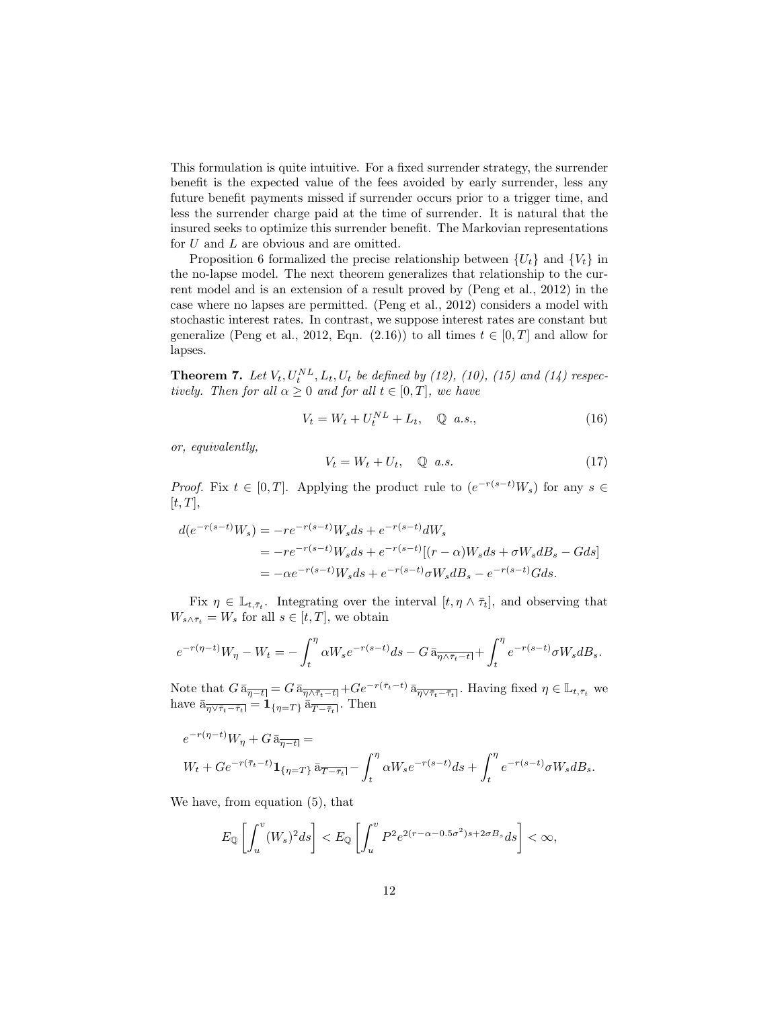This formulation is quite intuitive. For a fixed surrender strategy, the surrender benefit is the expected value of the fees avoided by early surrender, less any future benefit payments missed if surrender occurs prior to a trigger time, and less the surrender charge paid at the time of surrender. It is natural that the insured seeks to optimize this surrender benefit. The Markovian representations for  $U$  and  $L$  are obvious and are omitted.

Proposition 6 formalized the precise relationship between  $\{U_t\}$  and  $\{V_t\}$  in the no-lapse model. The next theorem generalizes that relationship to the current model and is an extension of a result proved by (Peng et al., 2012) in the case where no lapses are permitted. (Peng et al., 2012) considers a model with stochastic interest rates. In contrast, we suppose interest rates are constant but generalize (Peng et al., 2012, Eqn. (2.16)) to all times  $t \in [0, T]$  and allow for lapses.

**Theorem 7.** Let  $V_t$ ,  $U_t^{NL}$ ,  $L_t$ ,  $U_t$  be defined by (12), (10), (15) and (14) respectively. Then for all  $\alpha \geq 0$  and for all  $t \in [0, T]$ , we have

$$
V_t = W_t + U_t^{NL} + L_t, \quad \mathbb{Q} \quad a.s., \tag{16}
$$

or, equivalently,

$$
V_t = W_t + U_t, \quad Q \quad a.s. \tag{17}
$$

*Proof.* Fix  $t \in [0, T]$ . Applying the product rule to  $(e^{-r(s-t)}W_s)$  for any  $s \in$  $[t, T],$ 

$$
d(e^{-r(s-t)}W_s) = -re^{-r(s-t)}W_sds + e^{-r(s-t)}dW_s
$$
  
=  $-re^{-r(s-t)}W_sds + e^{-r(s-t)}[(r-\alpha)W_sds + \sigma W_sdB_s - Gds]$   
=  $-\alpha e^{-r(s-t)}W_sds + e^{-r(s-t)}\sigma W_sdB_s - e^{-r(s-t)}Gds.$ 

Fix  $\eta \in \mathbb{L}_{t,\bar{\tau}_t}$ . Integrating over the interval  $[t, \eta \wedge \bar{\tau}_t]$ , and observing that  $W_{s \wedge \bar{\tau}_t} = W_s$  for all  $s \in [t, T]$ , we obtain

$$
e^{-r(\eta-t)}W_{\eta} - W_t = -\int_t^{\eta} \alpha W_s e^{-r(s-t)} ds - G \bar{a}_{\overline{\eta \wedge \bar{\tau}_t - t}} + \int_t^{\eta} e^{-r(s-t)} \sigma W_s dB_s.
$$

Note that  $G \bar{a}_{\overline{\eta-t}} = G \bar{a}_{\overline{\eta \wedge \bar{\tau}_t - t}} + Ge^{-r(\bar{\tau}_t - t)} \bar{a}_{\overline{\eta \vee \bar{\tau}_t - \bar{\tau}_t}}$ . Having fixed  $\eta \in \mathbb{L}_{t, \bar{\tau}_t}$  we have  $\bar{\mathbf{a}}_{\overline{\eta \vee \bar{\tau}_t - \bar{\tau}_t}} = \mathbf{1}_{\{\eta = T\}} \bar{\mathbf{a}}_{\overline{T - \bar{\tau}_t}}$ . Then

$$
e^{-r(\eta-t)}W_{\eta} + G\overline{\mathbf{a}}_{\overline{\eta-t}} =
$$
  
 
$$
W_t + Ge^{-r(\overline{\tau}_t-t)}\mathbf{1}_{\{\eta=T\}}\overline{\mathbf{a}}_{\overline{T-\overline{\tau}_t}} - \int_t^{\eta} \alpha W_s e^{-r(s-t)}ds + \int_t^{\eta} e^{-r(s-t)}\sigma W_s dB_s.
$$

We have, from equation (5), that

$$
E_{\mathbb{Q}}\left[\int_{u}^{v}(W_s)^2ds\right] < E_{\mathbb{Q}}\left[\int_{u}^{v}P^2e^{2(r-\alpha-0.5\sigma^2)s+2\sigma B_s}ds\right] < \infty,
$$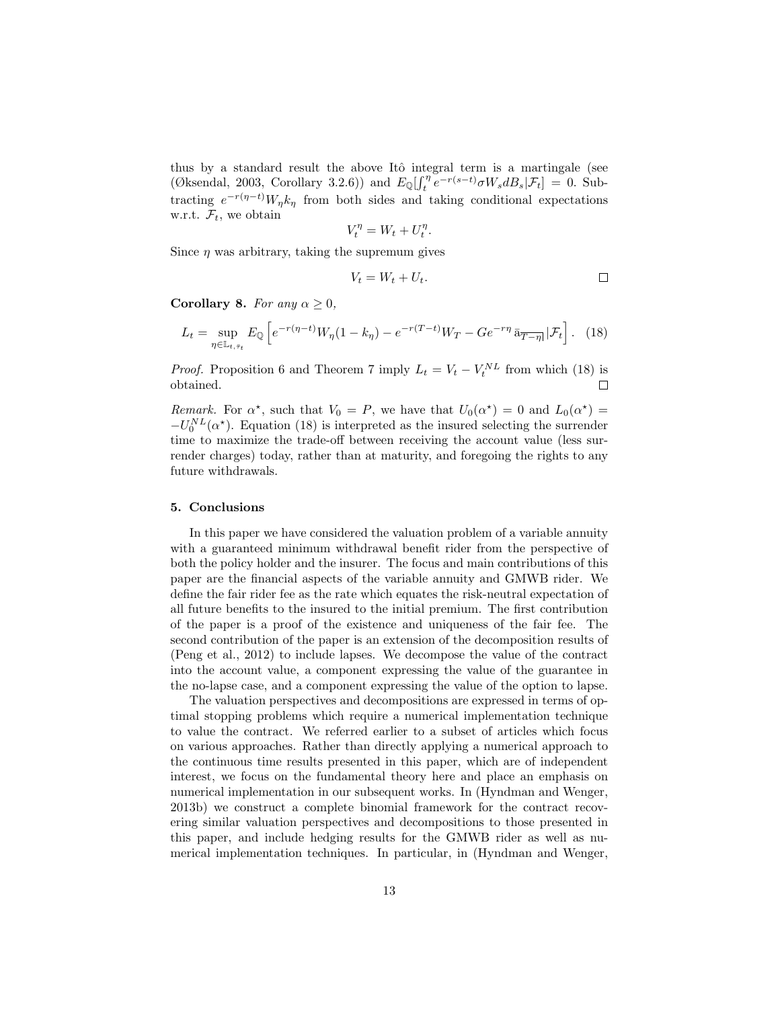thus by a standard result the above Itô integral term is a martingale (see (Øksendal, 2003, Corollary 3.2.6)) and  $E_{\mathbb{Q}}[\int_t^{\eta} e^{-r(s-t)} \sigma W_s dB_s | \mathcal{F}_t] = 0$ . Subtracting  $e^{-r(\eta-t)}W_{\eta}k_{\eta}$  from both sides and taking conditional expectations w.r.t.  $\mathcal{F}_t$ , we obtain

$$
V_t^{\eta} = W_t + U_t^{\eta}.
$$

Since  $\eta$  was arbitrary, taking the supremum gives

$$
V_t = W_t + U_t. \qquad \qquad \Box
$$

Corollary 8. For any  $\alpha \geq 0$ ,

$$
L_t = \sup_{\eta \in \mathbb{L}_{t,\tau_t}} E_{\mathbb{Q}} \left[ e^{-r(\eta - t)} W_{\eta} (1 - k_{\eta}) - e^{-r(T - t)} W_T - G e^{-r\eta} \bar{\mathbf{a}}_{\overline{T - \eta}} |\mathcal{F}_t \right]. \tag{18}
$$

*Proof.* Proposition 6 and Theorem 7 imply  $L_t = V_t - V_t^{NL}$  from which (18) is obtained.  $\Box$ 

Remark. For  $\alpha^*$ , such that  $V_0 = P$ , we have that  $U_0(\alpha^*) = 0$  and  $L_0(\alpha^*) =$  $-U_0^{NL}(\alpha^*)$ . Equation (18) is interpreted as the insured selecting the surrender time to maximize the trade-off between receiving the account value (less surrender charges) today, rather than at maturity, and foregoing the rights to any future withdrawals.

#### 5. Conclusions

In this paper we have considered the valuation problem of a variable annuity with a guaranteed minimum withdrawal benefit rider from the perspective of both the policy holder and the insurer. The focus and main contributions of this paper are the financial aspects of the variable annuity and GMWB rider. We define the fair rider fee as the rate which equates the risk-neutral expectation of all future benefits to the insured to the initial premium. The first contribution of the paper is a proof of the existence and uniqueness of the fair fee. The second contribution of the paper is an extension of the decomposition results of (Peng et al., 2012) to include lapses. We decompose the value of the contract into the account value, a component expressing the value of the guarantee in the no-lapse case, and a component expressing the value of the option to lapse.

The valuation perspectives and decompositions are expressed in terms of optimal stopping problems which require a numerical implementation technique to value the contract. We referred earlier to a subset of articles which focus on various approaches. Rather than directly applying a numerical approach to the continuous time results presented in this paper, which are of independent interest, we focus on the fundamental theory here and place an emphasis on numerical implementation in our subsequent works. In (Hyndman and Wenger, 2013b) we construct a complete binomial framework for the contract recovering similar valuation perspectives and decompositions to those presented in this paper, and include hedging results for the GMWB rider as well as numerical implementation techniques. In particular, in (Hyndman and Wenger,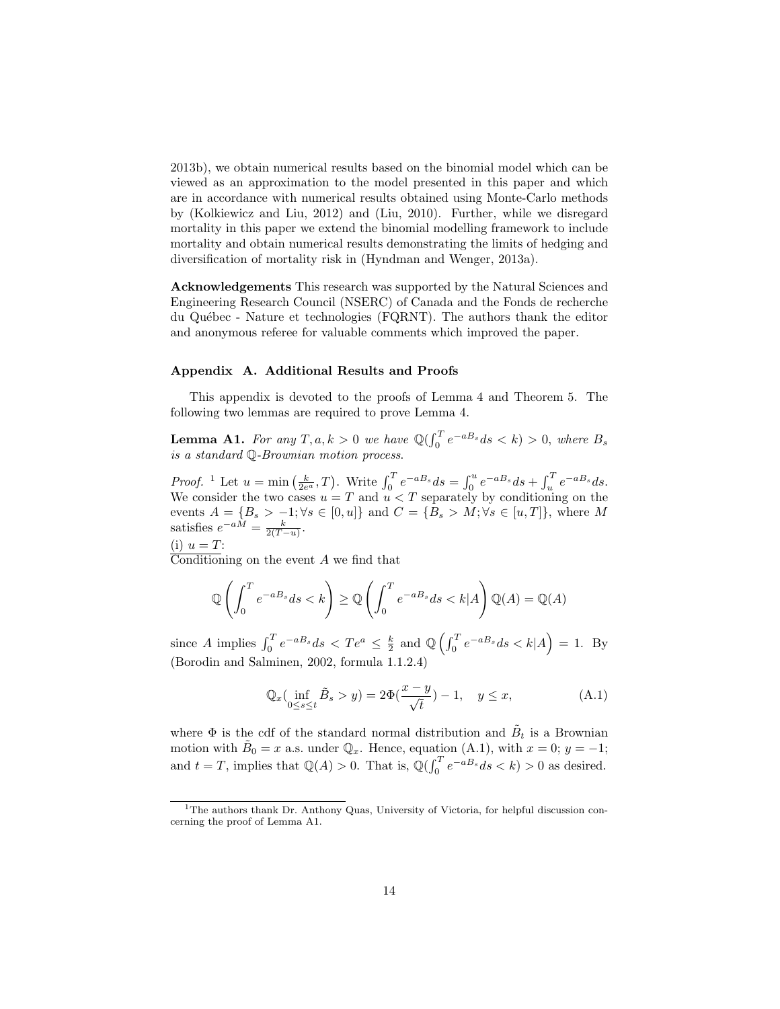2013b), we obtain numerical results based on the binomial model which can be viewed as an approximation to the model presented in this paper and which are in accordance with numerical results obtained using Monte-Carlo methods by (Kolkiewicz and Liu, 2012) and (Liu, 2010). Further, while we disregard mortality in this paper we extend the binomial modelling framework to include mortality and obtain numerical results demonstrating the limits of hedging and diversification of mortality risk in (Hyndman and Wenger, 2013a).

Acknowledgements This research was supported by the Natural Sciences and Engineering Research Council (NSERC) of Canada and the Fonds de recherche du Québec - Nature et technologies (FQRNT). The authors thank the editor and anonymous referee for valuable comments which improved the paper.

# Appendix A. Additional Results and Proofs

This appendix is devoted to the proofs of Lemma 4 and Theorem 5. The following two lemmas are required to prove Lemma 4.

**Lemma A1.** For any  $T, a, k > 0$  we have  $\mathbb{Q}(\int_0^T e^{-aB_s} ds < k) > 0$ , where  $B_s$ is a standard Q-Brownian motion process.

*Proof.* <sup>1</sup> Let  $u = \min\left(\frac{k}{2e^a}, T\right)$ . Write  $\int_0^T e^{-aB_s} ds = \int_0^u e^{-aB_s} ds + \int_u^T e^{-aB_s} ds$ . We consider the two cases  $u = T$  and  $u < T$  separately by conditioning on the events  $A = \{B_s > -1; \forall s \in [0, u]\}\$ and  $C = \{B_s > M; \forall s \in [u, T]\}\$ , where M satisfies  $e^{-a\tilde{M}} = \frac{k}{2(T-u)}$ .

 $(i)$   $u = T$ :

Conditioning on the event A we find that

$$
\mathbb{Q}\left(\int_0^T e^{-aB_s}ds < k\right) \ge \mathbb{Q}\left(\int_0^T e^{-aB_s}ds < k|A\right)\mathbb{Q}(A) = \mathbb{Q}(A)
$$

since A implies  $\int_0^T e^{-aB_s} ds < Te^a \leq \frac{k}{2}$  and  $\mathbb{Q} \left( \int_0^T e^{-aB_s} ds < k | A \right) = 1$ . By (Borodin and Salminen, 2002, formula 1.1.2.4)

$$
\mathbb{Q}_x\left(\inf_{0\le s\le t}\tilde{B}_s > y\right) = 2\Phi\left(\frac{x-y}{\sqrt{t}}\right) - 1, \quad y \le x,\tag{A.1}
$$

where  $\Phi$  is the cdf of the standard normal distribution and  $\tilde{B}_t$  is a Brownian motion with  $\tilde{B}_0 = x$  a.s. under  $\mathbb{Q}_x$ . Hence, equation (A.1), with  $x = 0$ ;  $y = -1$ ; and  $t = T$ , implies that  $\mathbb{Q}(A) > 0$ . That is,  $\mathbb{Q}(\int_0^T e^{-aB_s} ds < k) > 0$  as desired.

<sup>&</sup>lt;sup>1</sup>The authors thank Dr. Anthony Quas, University of Victoria, for helpful discussion concerning the proof of Lemma A1.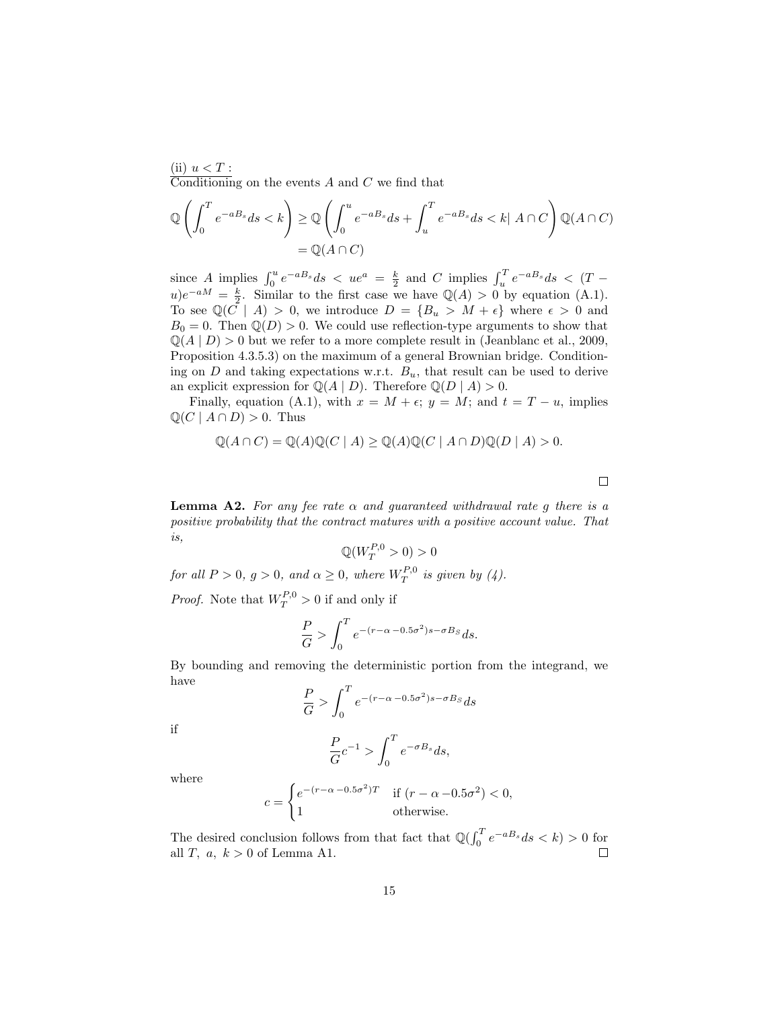(ii)  $u < T$  :  $\overline{\text{Conditioning}}$  on the events  $A$  and  $C$  we find that

$$
\mathbb{Q}\left(\int_0^T e^{-aB_s}ds < k\right) \ge \mathbb{Q}\left(\int_0^u e^{-aB_s}ds + \int_u^T e^{-aB_s}ds < k|A \cap C\right) \mathbb{Q}(A \cap C) = \mathbb{Q}(A \cap C)
$$

since A implies  $\int_0^u e^{-aB_s} ds < ue^a = \frac{k}{2}$  and C implies  $\int_u^T e^{-aB_s} ds < (T u)e^{-aM} = \frac{k}{2}$ . Similar to the first case we have  $\mathbb{Q}(A) > 0$  by equation (A.1). To see  $\mathbb{Q}(\tilde{C} \mid A) > 0$ , we introduce  $D = \{B_u > M + \epsilon\}$  where  $\epsilon > 0$  and  $B_0 = 0$ . Then  $\mathbb{Q}(D) > 0$ . We could use reflection-type arguments to show that  $\mathbb{Q}(A | D) > 0$  but we refer to a more complete result in (Jeanblanc et al., 2009, Proposition 4.3.5.3) on the maximum of a general Brownian bridge. Conditioning on  $D$  and taking expectations w.r.t.  $B_u$ , that result can be used to derive an explicit expression for  $\mathbb{Q}(A | D)$ . Therefore  $\mathbb{Q}(D | A) > 0$ .

Finally, equation (A.1), with  $x = M + \epsilon$ ;  $y = M$ ; and  $t = T - u$ , implies  $\mathbb{Q}(C \mid A \cap D) > 0$ . Thus

$$
\mathbb{Q}(A \cap C) = \mathbb{Q}(A)\mathbb{Q}(C \mid A) \ge \mathbb{Q}(A)\mathbb{Q}(C \mid A \cap D)\mathbb{Q}(D \mid A) > 0.
$$

 $\Box$ 

**Lemma A2.** For any fee rate  $\alpha$  and guaranteed withdrawal rate g there is a positive probability that the contract matures with a positive account value. That is,

$$
\mathbb{Q}(W_T^{P,0} > 0) > 0
$$

for all  $P > 0$ ,  $g > 0$ , and  $\alpha \geq 0$ , where  $W^{P,0}$  is given by (4).

*Proof.* Note that  $W_T^{P,0} > 0$  if and only if

$$
\frac{P}{G} > \int_0^T e^{-(r-\alpha - 0.5\sigma^2)s - \sigma B_S} ds.
$$

By bounding and removing the deterministic portion from the integrand, we have

$$
\frac{P}{G} > \int_0^T e^{-(r-\alpha - 0.5\sigma^2)s - \sigma B_S} ds
$$

if

$$
\frac{P}{G}c^{-1} > \int_0^T e^{-\sigma B_s} ds,
$$

where

$$
c = \begin{cases} e^{-(r-\alpha-0.5\sigma^2)T} & \text{if } (r-\alpha-0.5\sigma^2) < 0, \\ 1 & \text{otherwise.} \end{cases}
$$

The desired conclusion follows from that fact that  $\mathbb{Q}(\int_0^T e^{-aB_s} ds < k) > 0$  for all T,  $a, k > 0$  of Lemma A1.  $\Box$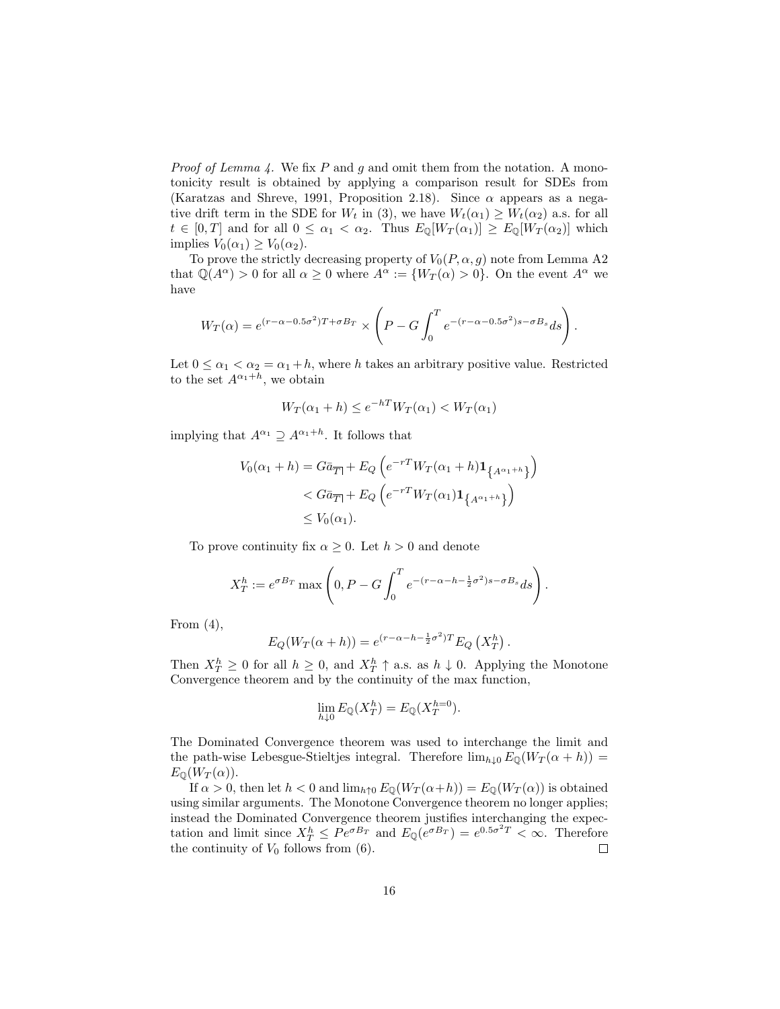*Proof of Lemma 4.* We fix  $P$  and  $q$  and omit them from the notation. A monotonicity result is obtained by applying a comparison result for SDEs from (Karatzas and Shreve, 1991, Proposition 2.18). Since  $\alpha$  appears as a negative drift term in the SDE for  $W_t$  in (3), we have  $W_t(\alpha_1) \geq W_t(\alpha_2)$  a.s. for all  $t \in [0, T]$  and for all  $0 \leq \alpha_1 < \alpha_2$ . Thus  $E_{\mathbb{Q}}[W_T(\alpha_1)] \geq E_{\mathbb{Q}}[W_T(\alpha_2)]$  which implies  $V_0(\alpha_1) \geq V_0(\alpha_2)$ .

To prove the strictly decreasing property of  $V_0(P, \alpha, g)$  note from Lemma A2 that  $\mathbb{Q}(A^{\alpha}) > 0$  for all  $\alpha \geq 0$  where  $A^{\alpha} := \{W_T(\alpha) > 0\}$ . On the event  $A^{\alpha}$  we have

$$
W_T(\alpha) = e^{(r-\alpha-0.5\sigma^2)T+\sigma B_T} \times \left(P - G \int_0^T e^{-(r-\alpha-0.5\sigma^2)s-\sigma B_s} ds\right).
$$

Let  $0 \leq \alpha_1 < \alpha_2 = \alpha_1 + h$ , where h takes an arbitrary positive value. Restricted to the set  $A^{\alpha_1+h}$ , we obtain

$$
W_T(\alpha_1 + h) \le e^{-hT} W_T(\alpha_1) < W_T(\alpha_1)
$$

implying that  $A^{\alpha_1} \supseteq A^{\alpha_1+h}$ . It follows that

$$
V_0(\alpha_1 + h) = G\bar{a}_{\overline{T}|} + E_Q \left( e^{-rT} W_T(\alpha_1 + h) \mathbf{1}_{\{A^{\alpha_1 + h}\}} \right)
$$
  

$$
< G\bar{a}_{\overline{T}|} + E_Q \left( e^{-rT} W_T(\alpha_1) \mathbf{1}_{\{A^{\alpha_1 + h}\}} \right)
$$
  

$$
\leq V_0(\alpha_1).
$$

To prove continuity fix  $\alpha \geq 0$ . Let  $h > 0$  and denote

$$
X_T^h := e^{\sigma B_T} \max \left( 0, P - G \int_0^T e^{-(r - \alpha - h - \frac{1}{2}\sigma^2)s - \sigma B_s} ds \right).
$$

From  $(4)$ ,

$$
E_Q(W_T(\alpha + h)) = e^{(r - \alpha - h - \frac{1}{2}\sigma^2)T} E_Q(X_T^h).
$$

Then  $X_T^h \geq 0$  for all  $h \geq 0$ , and  $X_T^h \uparrow$  a.s. as  $h \downarrow 0$ . Applying the Monotone Convergence theorem and by the continuity of the max function,

$$
\lim_{h \downarrow 0} E_{\mathbb{Q}}(X_T^h) = E_{\mathbb{Q}}(X_T^{h=0}).
$$

The Dominated Convergence theorem was used to interchange the limit and the path-wise Lebesgue-Stieltjes integral. Therefore  $\lim_{h\downarrow 0} E_{\mathbb{Q}}(W_T(\alpha + h)) =$  $E_{\mathbb{Q}}(W_T(\alpha)).$ 

If  $\alpha > 0$ , then let  $h < 0$  and  $\lim_{h \uparrow 0} E_{\mathbb{Q}}(W_T(\alpha + h)) = E_{\mathbb{Q}}(W_T(\alpha))$  is obtained using similar arguments. The Monotone Convergence theorem no longer applies; instead the Dominated Convergence theorem justifies interchanging the expectation and limit since  $X_T^h \le P e^{\sigma B_T}$  and  $E_{\mathbb{Q}}(e^{\sigma B_T}) = e^{0.5\sigma^2 T} < \infty$ . Therefore the continuity of  $V_0$  follows from (6).  $\Box$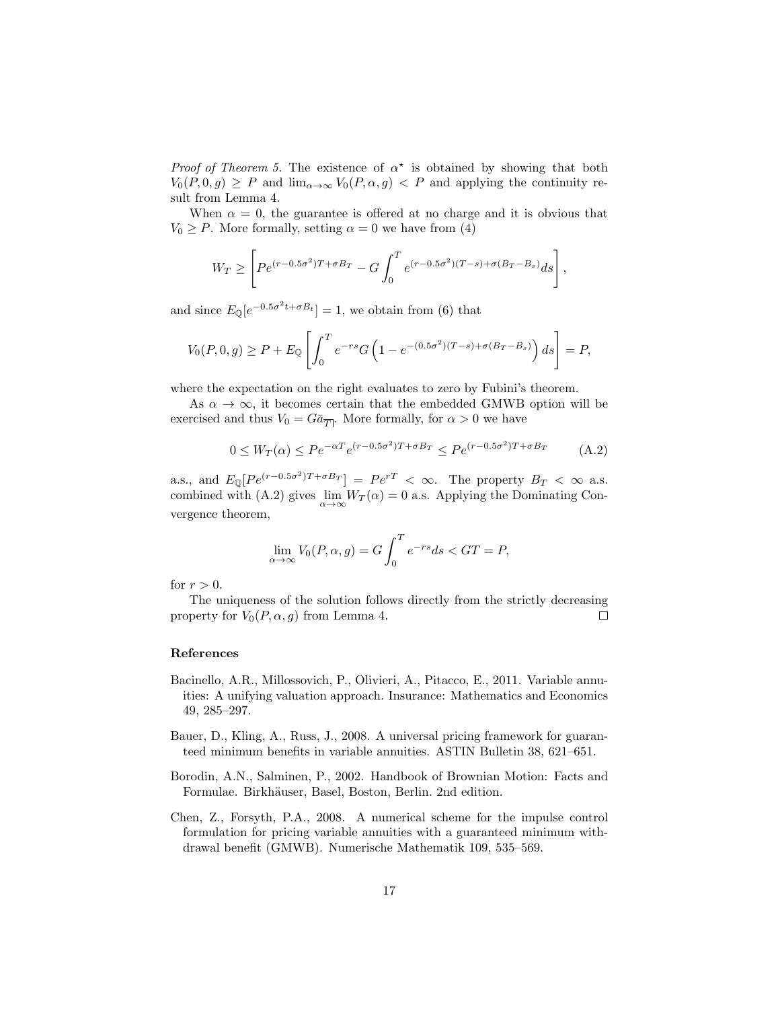*Proof of Theorem 5.* The existence of  $\alpha^*$  is obtained by showing that both  $V_0(P, 0, g) \geq P$  and  $\lim_{\alpha \to \infty} V_0(P, \alpha, g) < P$  and applying the continuity result from Lemma 4.

When  $\alpha = 0$ , the guarantee is offered at no charge and it is obvious that  $V_0 \geq P$ . More formally, setting  $\alpha = 0$  we have from (4)

$$
W_T \ge \left[ Pe^{(r-0.5\sigma^2)T+\sigma B_T} - G \int_0^T e^{(r-0.5\sigma^2)(T-s)+\sigma(B_T-B_s)} ds \right],
$$

and since  $E_{\mathbb{Q}}[e^{-0.5\sigma^2 t + \sigma B_t}] = 1$ , we obtain from (6) that

$$
V_0(P,0,g) \ge P + E_{\mathbb{Q}} \left[ \int_0^T e^{-rs} G\left(1 - e^{-(0.5\sigma^2)(T-s) + \sigma(B_T - B_s)}\right) ds \right] = P,
$$

where the expectation on the right evaluates to zero by Fubini's theorem.

As  $\alpha \to \infty$ , it becomes certain that the embedded GMWB option will be exercised and thus  $V_0 = G\bar{a}_{\overline{T}}$ . More formally, for  $\alpha > 0$  we have

$$
0 \le W_T(\alpha) \le P e^{-\alpha T} e^{(r-0.5\sigma^2)T + \sigma B_T} \le P e^{(r-0.5\sigma^2)T + \sigma B_T}
$$
 (A.2)

a.s., and  $E_{\mathbb{Q}}[Pe^{(r-0.5\sigma^2)T+\sigma B_T}] = Pe^{rT} < \infty$ . The property  $B_T < \infty$  a.s. combined with (A.2) gives  $\lim_{\alpha \to \infty} W_T(\alpha) = 0$  a.s. Applying the Dominating Convergence theorem,

$$
\lim_{\alpha \to \infty} V_0(P, \alpha, g) = G \int_0^T e^{-rs} ds < GT = P,
$$

for  $r > 0$ .

The uniqueness of the solution follows directly from the strictly decreasing property for  $V_0(P, \alpha, g)$  from Lemma 4.  $\Box$ 

# References

- Bacinello, A.R., Millossovich, P., Olivieri, A., Pitacco, E., 2011. Variable annuities: A unifying valuation approach. Insurance: Mathematics and Economics 49, 285–297.
- Bauer, D., Kling, A., Russ, J., 2008. A universal pricing framework for guaranteed minimum benefits in variable annuities. ASTIN Bulletin 38, 621–651.
- Borodin, A.N., Salminen, P., 2002. Handbook of Brownian Motion: Facts and Formulae. Birkh¨auser, Basel, Boston, Berlin. 2nd edition.
- Chen, Z., Forsyth, P.A., 2008. A numerical scheme for the impulse control formulation for pricing variable annuities with a guaranteed minimum withdrawal benefit (GMWB). Numerische Mathematik 109, 535–569.